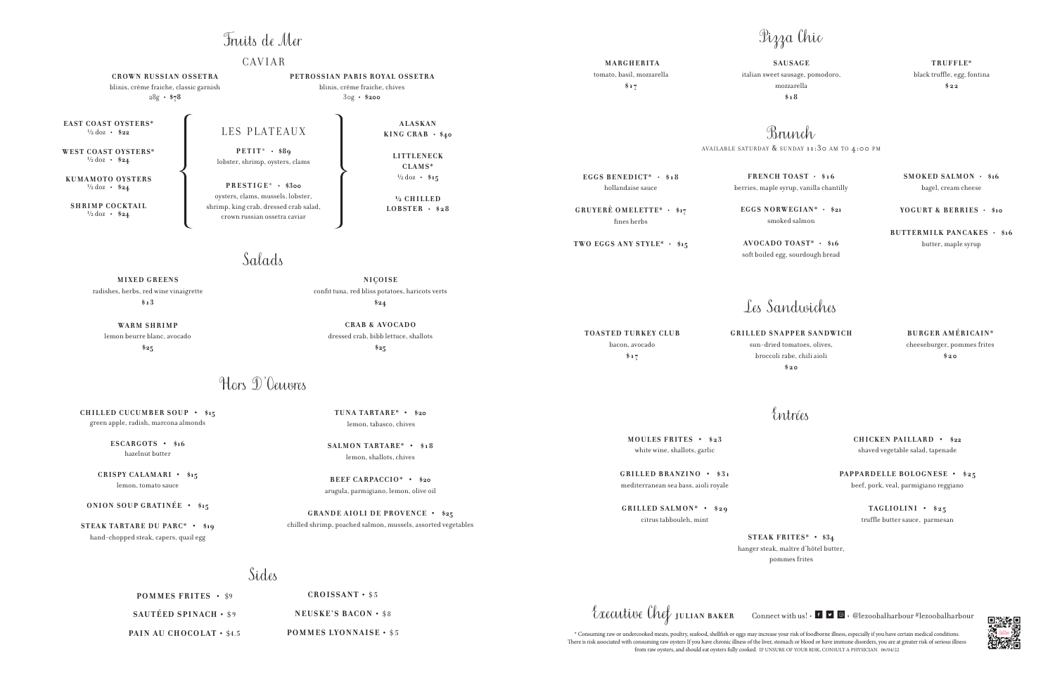Salads

**MIXED GREENS** radishes, herbs, red wine vinaigrette **\$13**

**WARM SHRIMP** lemon beurre blanc, avocado **\$25**

Hors D'Oeuvres

**POMMES FRITES •** \$9 **SAUTÉED SPINACH • \$9** PAIN AU CHOCOLAT • \$4.5

**NIÇOISE** confit tuna, red bliss potatoes, haricots verts **\$24**

**CROISSANT •** \$5 **NEUSKE'S BACON • \$8** 

**CRAB & AVOCADO** dressed crab, bibb lettuce, shallots **\$25**

**POMMES LYONNAISE •** \$5

Executive Chef JULIAN BAKER Connect with us! • **•**  $\bullet$  **e** elezoobalharbour #lezoobalharbour

Sides

### Les Sandwiches

**TOASTED TURKEY CLUB** bacon, avocado **\$17**

**GRILLED SNAPPER SANDWICH** sun-dried tomatoes, olives, broccoli rabe, chili aioli **\$20**

**BURGER AMÉRICAIN\*** cheeseburger, pommes frites **\$20**

**CHILLED CUCUMBER SOUP • \$15** green apple, radish, marcona almonds

> **ESCARGOTS • \$16** hazelnut butter

**CRISPY CALAMARI • \$15** lemon, tomato sauce

**ONION SOUP GRATINÉE • \$15**

**STEAK TARTARE DU PARC\* • \$19** hand-chopped steak, capers, quail egg

**TUNA TARTARE\* • \$20** lemon, tabasco, chives

**SALMON TARTARE\* • \$18** lemon, shallots, chives

Brunch AVAILABLE SATURDAY  $\&$  SUNDAY 11:30 AM TO 4:00 PM

**BEEF CARPACCIO\* • \$20** arugula, parmigiano, lemon, olive oil

**GRANDE AIOLI DE PROVENCE • \$25** chilled shrimp, poached salmon, mussels, assorted vegetables

**KUMAMOTO OYSTERS**  $\frac{1}{2}$  doz **•**  $\frac{1}{2}$ 

> **MOULES FRITES • \$23** white wine, shallots, garlic

 $ALASKAN$ **KING CRAB • \$40**

> **GRILLED BRANZINO • \$31** mediterranean sea bass, aioli royale

**GRILLED SALMON\* • \$29** citrus tabbouleh, mint

#### **CHICKEN PAILLARD • \$22**

shaved vegetable salad, tapenade

**PAPPARDELLE BOLOGNESE • \$25** beef, pork, veal, parmigiano reggiano

> **TAGLIOLINI • \$25** truffle butter sauce, parmesan

#### Entrées

**EGGS BENEDICT\*** • **\$18**

hollandaise sauce

**GRUYERÈ OMELETTE\*** • **\$17**

fines herbs

**TWO EGGS ANY STYLE\*** • **\$15**

**FRENCH TOAST** • **\$16** berries, maple syrup, vanilla chantilly

**EGGS NORWEGIAN\*** • **\$21** smoked salmon

**AVOCADO TOAST\*** • **\$16** soft boiled egg, sourdough bread

**SMOKED SALMON** • **\$16** bagel, cream cheese

**YOGURT & BERRIES** • **\$10**

**BUTTERMILK PANCAKES** • **\$16** butter, maple syrup

**STEAK FRITES\* • \$34** hanger steak, maître d'hôtel butter, pommes frites

# Pizza Chic

 **MARGHERITA**

tomato, basil, mozzarella **\$17**

**SAUSAGE** italian sweet sausage, pomodoro, mozzarella **\$18**

**TRUFFLE\*** black truffle, egg, fontina **\$22**

**EAST COAST OYSTERS\*** ½ doz **• \$22**

**WEST COAST OYSTERS\*** ½ doz **• \$24**

**SHRIMP COCKTAIL** ½ doz **• \$24**

LES PLATEAUX

**L I T T L E N E C K CLAMS\*** ½ doz **• \$15**

**½ C H I L L E D LOBSTER • \$28**

## Fruits de Mer

**CAVIAR** 

**PETIT** \* **• \$89** lobster, shrimp, oysters, clams

**PRESTIGE** \* **• \$300** oysters, clams, mussels, lobster, shrimp, king crab, dressed crab salad, crown russian ossetra caviar

**CROWN RUSSIAN OSSETRA** blinis, crème fraiche, classic garnish 28g **• \$78**

# **PETROSSIAN PARIS ROYAL OSSETRA**

blinis, crème fraiche, chives 30g **• \$200**

> \* Consuming raw or undercooked meats, poultry, seafood, shellfish or eggs may increase your risk of foodborne illness, especially if you have certain medical conditions. There is risk associated with consuming raw oysters If you have chronic illness of the liver, stomach or blood or have immune disorders, you are at greater risk of serious illness from raw oysters, and should eat oysters fully cooked. IF UNSURE OF YOUR RISK, CONSULT A PHYSICIAN. 06/04/22